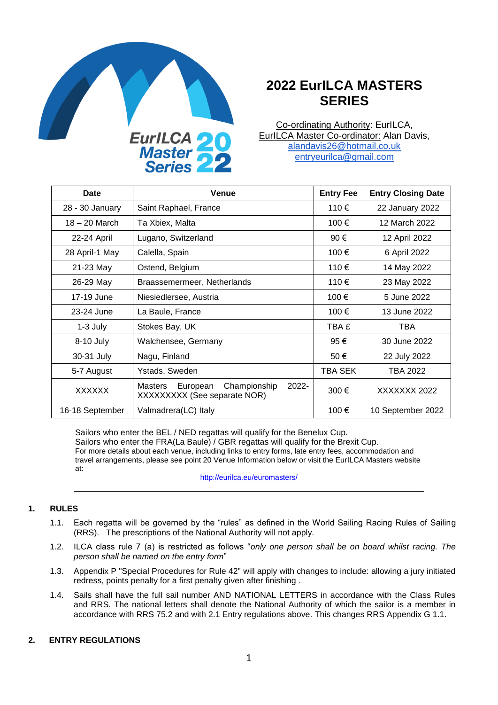

# **2022 EurILCA MASTERS SERIES**

Co-ordinating Authority: EurILCA, EurILCA Master Co-ordinator: Alan Davis, [alandavis26@hotmail.co.uk](mailto:alandavis26@hotmail.co.uk) [entryeurilca@gmail.com](mailto:entryeurilca@gmail.com)

| Date            | Venue                                                                          | <b>Entry Fee</b> | <b>Entry Closing Date</b> |
|-----------------|--------------------------------------------------------------------------------|------------------|---------------------------|
| 28 - 30 January | Saint Raphael, France                                                          | 110€             | 22 January 2022           |
| $18 - 20$ March | Ta Xbiex, Malta                                                                | 100€             | 12 March 2022             |
| 22-24 April     | Lugano, Switzerland                                                            | 90 €             | 12 April 2022             |
| 28 April-1 May  | Calella, Spain                                                                 | 100€             | 6 April 2022              |
| 21-23 May       | Ostend, Belgium                                                                | 110€             | 14 May 2022               |
| 26-29 May       | Braassemermeer, Netherlands                                                    | 110€             | 23 May 2022               |
| 17-19 June      | Niesiedlersee, Austria                                                         | 100€             | 5 June 2022               |
| 23-24 June      | La Baule, France                                                               | 100€             | 13 June 2022              |
| $1-3$ July      | Stokes Bay, UK                                                                 | TBA £            | <b>TBA</b>                |
| 8-10 July       | Walchensee, Germany                                                            | 95€              | 30 June 2022              |
| 30-31 July      | Nagu, Finland                                                                  | 50€              | 22 July 2022              |
| 5-7 August      | Ystads, Sweden                                                                 | TBA SEK          | TBA 2022                  |
| <b>XXXXXX</b>   | Championship<br>$2022 -$<br>Masters<br>European<br>XXXXXXXX (See separate NOR) | 300€             | XXXXXXX 2022              |
| 16-18 September | Valmadrera(LC) Italy                                                           | 100€             | 10 September 2022         |

Sailors who enter the BEL / NED regattas will qualify for the Benelux Cup. Sailors who enter the FRA(La Baule) / GBR regattas will qualify for the Brexit Cup. For more details about each venue, including links to entry forms, late entry fees, accommodation and travel arrangements, please see point 20 Venue Information below or visit the EurILCA Masters website at:

<http://eurilca.eu/euromasters/>

## **1. RULES**

- 1.1. Each regatta will be governed by the "rules" as defined in the World Sailing Racing Rules of Sailing (RRS). The prescriptions of the National Authority will not apply.
- 1.2. ILCA class rule 7 (a) is restricted as follows "*only one person shall be on board whilst racing. The person shall be named on the entry form*"
- 1.3. Appendix P "Special Procedures for Rule 42" will apply with changes to include: allowing a jury initiated redress, points penalty for a first penalty given after finishing .
- 1.4. Sails shall have the full sail number AND NATIONAL LETTERS in accordance with the Class Rules and RRS. The national letters shall denote the National Authority of which the sailor is a member in accordance with RRS 75.2 and with 2.1 Entry regulations above. This changes RRS Appendix G 1.1.

#### **2. ENTRY REGULATIONS**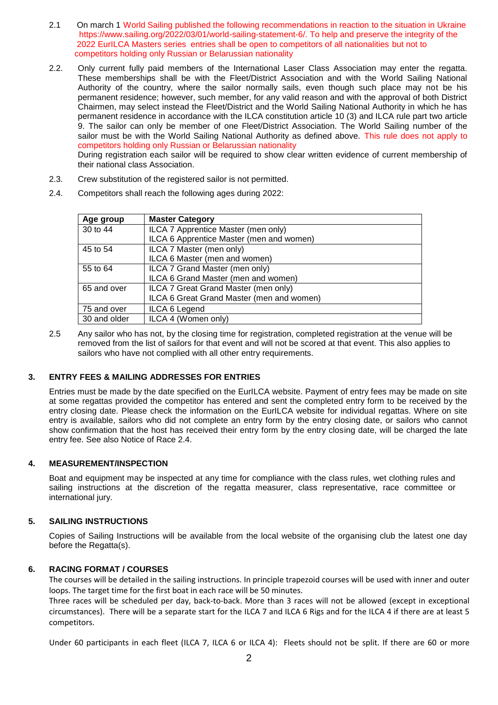- 2.1 On march 1 World Sailing published the following recommendations in reaction to the situation in Ukraine https://www.sailing.org/2022/03/01/world-sailing-statement-6/. To help and preserve the integrity of the 2022 EurILCA Masters series entries shall be open to competitors of all nationalities but not to competitors holding only Russian or Belarussian nationality
- 2.2. Only current fully paid members of the International Laser Class Association may enter the regatta. These memberships shall be with the Fleet/District Association and with the World Sailing National Authority of the country, where the sailor normally sails, even though such place may not be his permanent residence; however, such member, for any valid reason and with the approval of both District Chairmen, may select instead the Fleet/District and the World Sailing National Authority in which he has permanent residence in accordance with the ILCA constitution article 10 (3) and ILCA rule part two article 9. The sailor can only be member of one Fleet/District Association. The World Sailing number of the sailor must be with the World Sailing National Authority as defined above. This rule does not apply to competitors holding only Russian or Belarussian nationality During registration each sailor will be required to show clear written evidence of current membership of

their national class Association.

- 2.3. Crew substitution of the registered sailor is not permitted.
- 2.4. Competitors shall reach the following ages during 2022:

| Age group    | <b>Master Category</b>                    |
|--------------|-------------------------------------------|
| 30 to 44     | ILCA 7 Apprentice Master (men only)       |
|              | ILCA 6 Apprentice Master (men and women)  |
| 45 to 54     | ILCA 7 Master (men only)                  |
|              | ILCA 6 Master (men and women)             |
| 55 to 64     | ILCA 7 Grand Master (men only)            |
|              | ILCA 6 Grand Master (men and women)       |
| 65 and over  | ILCA 7 Great Grand Master (men only)      |
|              | ILCA 6 Great Grand Master (men and women) |
| 75 and over  | ILCA 6 Legend                             |
| 30 and older | ILCA 4 (Women only)                       |

2.5 Any sailor who has not, by the closing time for registration, completed registration at the venue will be removed from the list of sailors for that event and will not be scored at that event. This also applies to sailors who have not complied with all other entry requirements.

## **3. ENTRY FEES & MAILING ADDRESSES FOR ENTRIES**

Entries must be made by the date specified on the EurILCA website. Payment of entry fees may be made on site at some regattas provided the competitor has entered and sent the completed entry form to be received by the entry closing date. Please check the information on the EurILCA website for individual regattas. Where on site entry is available, sailors who did not complete an entry form by the entry closing date, or sailors who cannot show confirmation that the host has received their entry form by the entry closing date, will be charged the late entry fee. See also Notice of Race 2.4.

## **4. MEASUREMENT/INSPECTION**

Boat and equipment may be inspected at any time for compliance with the class rules, wet clothing rules and sailing instructions at the discretion of the regatta measurer, class representative, race committee or international jury.

#### **5. SAILING INSTRUCTIONS**

Copies of Sailing Instructions will be available from the local website of the organising club the latest one day before the Regatta(s).

## **6. RACING FORMAT / COURSES**

The courses will be detailed in the sailing instructions. In principle trapezoid courses will be used with inner and outer loops. The target time for the first boat in each race will be 50 minutes.

Three races will be scheduled per day, back-to-back. More than 3 races will not be allowed (except in exceptional circumstances). There will be a separate start for the ILCA 7 and ILCA 6 Rigs and for the ILCA 4 if there are at least 5 competitors.

Under 60 participants in each fleet (ILCA 7, ILCA 6 or ILCA 4): Fleets should not be split. If there are 60 or more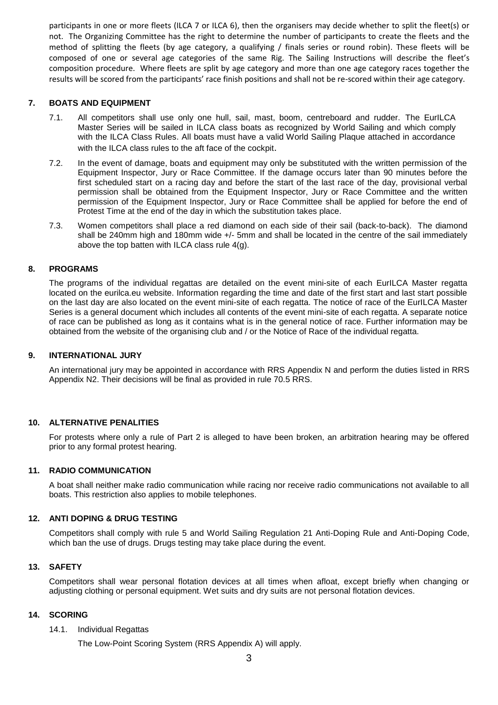participants in one or more fleets (ILCA 7 or ILCA 6), then the organisers may decide whether to split the fleet(s) or not. The Organizing Committee has the right to determine the number of participants to create the fleets and the method of splitting the fleets (by age category, a qualifying / finals series or round robin). These fleets will be composed of one or several age categories of the same Rig. The Sailing Instructions will describe the fleet's composition procedure. Where fleets are split by age category and more than one age category races together the results will be scored from the participants' race finish positions and shall not be re-scored within their age category.

## **7. BOATS AND EQUIPMENT**

- 7.1. All competitors shall use only one hull, sail, mast, boom, centreboard and rudder. The EurILCA Master Series will be sailed in ILCA class boats as recognized by World Sailing and which comply with the ILCA Class Rules. All boats must have a valid World Sailing Plaque attached in accordance with the ILCA class rules to the aft face of the cockpit.
- 7.2. In the event of damage, boats and equipment may only be substituted with the written permission of the Equipment Inspector, Jury or Race Committee. If the damage occurs later than 90 minutes before the first scheduled start on a racing day and before the start of the last race of the day, provisional verbal permission shall be obtained from the Equipment Inspector, Jury or Race Committee and the written permission of the Equipment Inspector, Jury or Race Committee shall be applied for before the end of Protest Time at the end of the day in which the substitution takes place.
- 7.3. Women competitors shall place a red diamond on each side of their sail (back-to-back). The diamond shall be 240mm high and 180mm wide +/- 5mm and shall be located in the centre of the sail immediately above the top batten with ILCA class rule 4(g).

## **8. PROGRAMS**

The programs of the individual regattas are detailed on the event mini-site of each EurILCA Master regatta located on the eurilca.eu website. Information regarding the time and date of the first start and last start possible on the last day are also located on the event mini-site of each regatta. The notice of race of the EurILCA Master Series is a general document which includes all contents of the event mini-site of each regatta. A separate notice of race can be published as long as it contains what is in the general notice of race. Further information may be obtained from the website of the organising club and / or the Notice of Race of the individual regatta.

## **9. INTERNATIONAL JURY**

An international jury may be appointed in accordance with RRS Appendix N and perform the duties listed in RRS Appendix N2. Their decisions will be final as provided in rule 70.5 RRS.

## **10. ALTERNATIVE PENALITIES**

For protests where only a rule of Part 2 is alleged to have been broken, an arbitration hearing may be offered prior to any formal protest hearing.

## **11. RADIO COMMUNICATION**

A boat shall neither make radio communication while racing nor receive radio communications not available to all boats. This restriction also applies to mobile telephones.

## **12. ANTI DOPING & DRUG TESTING**

Competitors shall comply with rule 5 and World Sailing Regulation 21 Anti-Doping Rule and Anti-Doping Code, which ban the use of drugs. Drugs testing may take place during the event.

## **13. SAFETY**

Competitors shall wear personal flotation devices at all times when afloat, except briefly when changing or adjusting clothing or personal equipment. Wet suits and dry suits are not personal flotation devices.

## **14. SCORING**

#### 14.1. Individual Regattas

The Low-Point Scoring System (RRS Appendix A) will apply.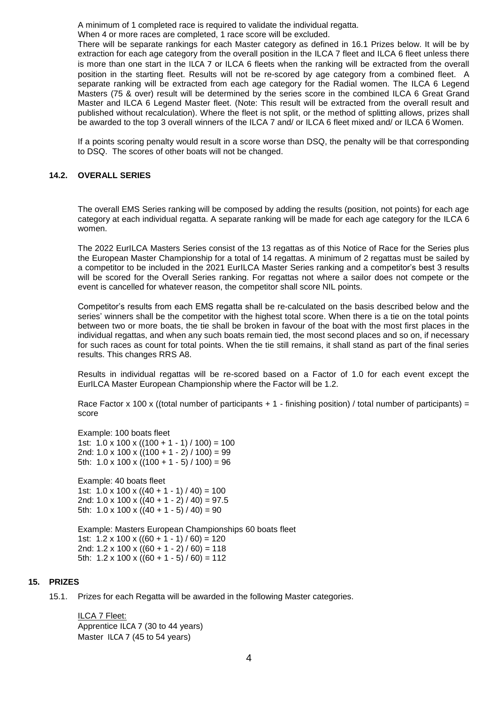A minimum of 1 completed race is required to validate the individual regatta.

When 4 or more races are completed, 1 race score will be excluded.

There will be separate rankings for each Master category as defined in 16.1 Prizes below. It will be by extraction for each age category from the overall position in the ILCA 7 fleet and ILCA 6 fleet unless there is more than one start in the ILCA 7 or ILCA 6 fleets when the ranking will be extracted from the overall position in the starting fleet. Results will not be re-scored by age category from a combined fleet. A separate ranking will be extracted from each age category for the Radial women. The ILCA 6 Legend Masters (75 & over) result will be determined by the series score in the combined ILCA 6 Great Grand Master and ILCA 6 Legend Master fleet. (Note: This result will be extracted from the overall result and published without recalculation). Where the fleet is not split, or the method of splitting allows, prizes shall be awarded to the top 3 overall winners of the ILCA 7 and/ or ILCA 6 fleet mixed and/ or ILCA 6 Women.

If a points scoring penalty would result in a score worse than DSQ, the penalty will be that corresponding to DSQ. The scores of other boats will not be changed.

#### **14.2. OVERALL SERIES**

The overall EMS Series ranking will be composed by adding the results (position, not points) for each age category at each individual regatta. A separate ranking will be made for each age category for the ILCA 6 women.

The 2022 EurILCA Masters Series consist of the 13 regattas as of this Notice of Race for the Series plus the European Master Championship for a total of 14 regattas. A minimum of 2 regattas must be sailed by a competitor to be included in the 2021 EurILCA Master Series ranking and a competitor's best 3 results will be scored for the Overall Series ranking. For regattas not where a sailor does not compete or the event is cancelled for whatever reason, the competitor shall score NIL points.

Competitor's results from each EMS regatta shall be re-calculated on the basis described below and the series' winners shall be the competitor with the highest total score. When there is a tie on the total points between two or more boats, the tie shall be broken in favour of the boat with the most first places in the individual regattas, and when any such boats remain tied, the most second places and so on, if necessary for such races as count for total points. When the tie still remains, it shall stand as part of the final series results. This changes RRS A8.

Results in individual regattas will be re-scored based on a Factor of 1.0 for each event except the EurILCA Master European Championship where the Factor will be 1.2.

Race Factor x 100 x ((total number of participants + 1 - finishing position) / total number of participants) = score

Example: 100 boats fleet 1st:  $1.0 \times 100 \times ((100 + 1 - 1) / 100) = 100$ 2nd:  $1.0 \times 100 \times ((100 + 1 - 2) / 100) = 99$ 5th:  $1.0 \times 100 \times ((100 + 1 - 5) / 100) = 96$ 

Example: 40 boats fleet 1st:  $1.0 \times 100 \times ((40 + 1 - 1) / 40) = 100$ 2nd:  $1.0 \times 100 \times ((40 + 1 - 2) / 40) = 97.5$ 5th:  $1.0 \times 100 \times ((40 + 1 - 5) / 40) = 90$ 

Example: Masters European Championships 60 boats fleet 1st:  $1.2 \times 100 \times ((60 + 1 - 1)/60) = 120$ 2nd:  $1.2 \times 100 \times ((60 + 1 - 2) / 60) = 118$ 5th:  $1.2 \times 100 \times ((60 + 1 - 5) / 60) = 112$ 

## **15. PRIZES**

15.1. Prizes for each Regatta will be awarded in the following Master categories.

ILCA 7 Fleet: Apprentice ILCA 7 (30 to 44 years) Master ILCA 7 (45 to 54 years)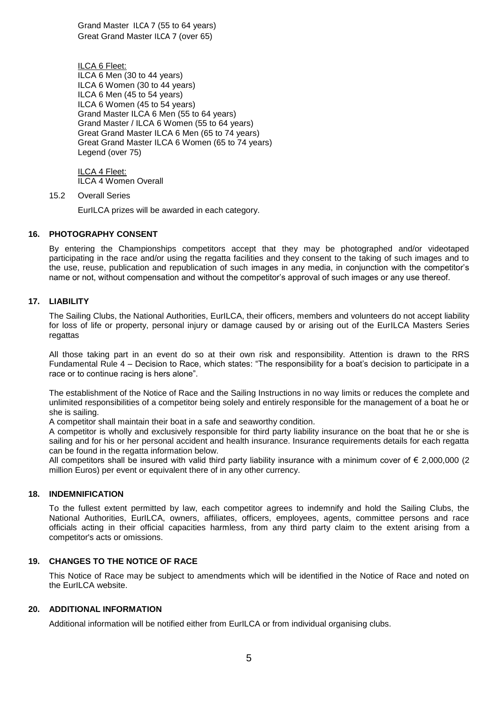Grand Master ILCA 7 (55 to 64 years) Great Grand Master ILCA 7 (over 65)

ILCA 6 Fleet: ILCA 6 Men (30 to 44 years) ILCA 6 Women (30 to 44 years) ILCA 6 Men (45 to 54 years) ILCA 6 Women (45 to 54 years) Grand Master ILCA 6 Men (55 to 64 years) Grand Master / ILCA 6 Women (55 to 64 years) Great Grand Master ILCA 6 Men (65 to 74 years) Great Grand Master ILCA 6 Women (65 to 74 years) Legend (over 75)

ILCA 4 Fleet: ILCA 4 Women Overall

15.2 Overall Series

EurILCA prizes will be awarded in each category.

#### **16. PHOTOGRAPHY CONSENT**

By entering the Championships competitors accept that they may be photographed and/or videotaped participating in the race and/or using the regatta facilities and they consent to the taking of such images and to the use, reuse, publication and republication of such images in any media, in conjunction with the competitor's name or not, without compensation and without the competitor's approval of such images or any use thereof.

#### **17. LIABILITY**

The Sailing Clubs, the National Authorities, EurILCA, their officers, members and volunteers do not accept liability for loss of life or property, personal injury or damage caused by or arising out of the EurILCA Masters Series regattas

All those taking part in an event do so at their own risk and responsibility. Attention is drawn to the RRS Fundamental Rule 4 – Decision to Race, which states: "The responsibility for a boat's decision to participate in a race or to continue racing is hers alone".

The establishment of the Notice of Race and the Sailing Instructions in no way limits or reduces the complete and unlimited responsibilities of a competitor being solely and entirely responsible for the management of a boat he or she is sailing.

A competitor shall maintain their boat in a safe and seaworthy condition.

A competitor is wholly and exclusively responsible for third party liability insurance on the boat that he or she is sailing and for his or her personal accident and health insurance. Insurance requirements details for each regatta can be found in the regatta information below.

All competitors shall be insured with valid third party liability insurance with a minimum cover of  $\epsilon$  2,000,000 (2) million Euros) per event or equivalent there of in any other currency.

#### **18. INDEMNIFICATION**

To the fullest extent permitted by law, each competitor agrees to indemnify and hold the Sailing Clubs, the National Authorities, EurILCA, owners, affiliates, officers, employees, agents, committee persons and race officials acting in their official capacities harmless, from any third party claim to the extent arising from a competitor's acts or omissions.

#### **19. CHANGES TO THE NOTICE OF RACE**

This Notice of Race may be subject to amendments which will be identified in the Notice of Race and noted on the EurILCA website.

## **20. ADDITIONAL INFORMATION**

Additional information will be notified either from EurILCA or from individual organising clubs.